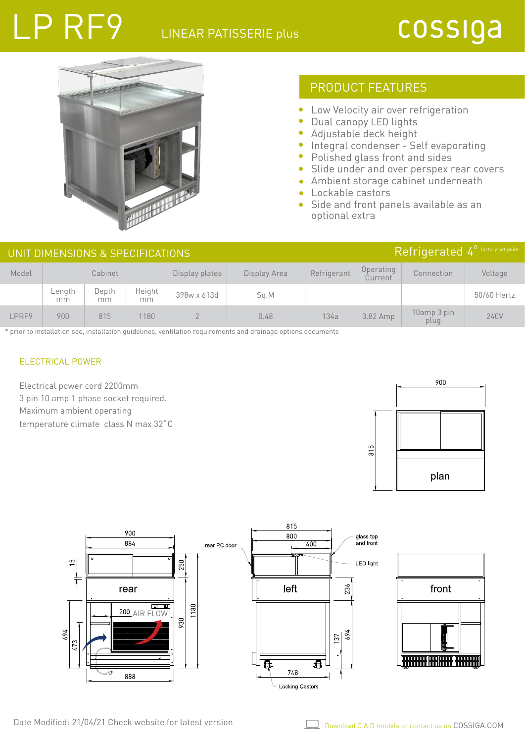## LINEAR PATISSERIE plus

## cossiga



### PRODUCT FEATURES

- $\bullet$ Low Velocity air over refrigeration
- $\bullet$ Dual canopy LED lights
- Adjustable deck height  $\bullet$
- **Integral condenser Self evaporating**
- Polished glass front and sides
- Slide under and over perspex rear covers  $\bullet$
- Ambient storage cabinet underneath  $\bullet$
- Lockable castors  $\bullet$
- Side and front panels available as an optional extra

|       | UNIT DIMENSIONS & SPECIFICATIONS |             | Refrigerated 4 <sup>°</sup> factory set point |                |              |             |                      |                     |             |
|-------|----------------------------------|-------------|-----------------------------------------------|----------------|--------------|-------------|----------------------|---------------------|-------------|
| Model | Cabinet                          |             |                                               | Display plates | Display Area | Refrigerant | Operating<br>Current | Connection          | Voltage     |
|       | Length<br>mm                     | Depth<br>mm | Height<br>mm                                  | 398w x 613d    | Sq.M         |             |                      |                     | 50/60 Hertz |
| LPRF9 | 900                              | 815         | 1180                                          |                | 0.48         | 134a        | 3.82 Amp             | 10amp 3 pin<br>plug | 240V        |

\* prior to installation see, installation guidelines, ventilation requirements and drainage options documents

#### ELECTRICAL POWER

LP RF9

Electrical power cord 2200mm 3 pin 10 amp 1 phase socket required. Maximum ambient operating temperature climate class N max 32˚C





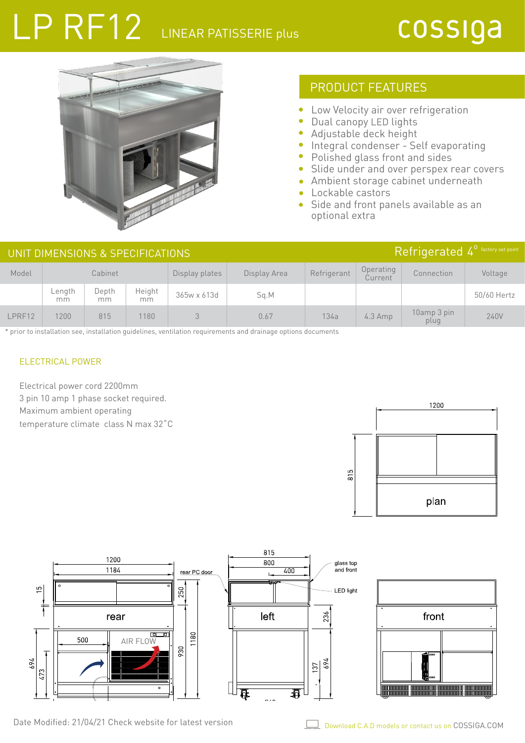# LP RF12 LINEAR PATISSERIE Plus



## PRODUCT FEATURES

- $\bullet$ Low Velocity air over refrigeration
- $\bullet$ Dual canopy LED lights
- Adjustable deck height  $\bullet$
- **Integral condenser Self evaporating**
- Polished glass front and sides
- Slide under and over perspex rear covers  $\bullet$
- Ambient storage cabinet underneath  $\bullet$
- Lockable castors  $\bullet$
- Side and front panels available as an optional extra

|        | UNIT DIMENSIONS & SPECIFICATIONS |             | Refrigerated 4 <sup>°</sup> factory set point |                |              |             |                      |                     |             |
|--------|----------------------------------|-------------|-----------------------------------------------|----------------|--------------|-------------|----------------------|---------------------|-------------|
| Model  | Cabinet                          |             |                                               | Display plates | Display Area | Refrigerant | Operating<br>Current | Connection          | Voltage     |
|        | Length<br>mm                     | Depth<br>mm | Height<br>mm                                  | 365w x 613d    | Sq.M         |             |                      |                     | 50/60 Hertz |
| LPRF12 | 200                              | 815         | 1180                                          |                | 0.67         | 134a        | $4.3$ Amp            | 10amp 3 pin<br>plug | 240V        |

\* prior to installation see, installation guidelines, ventilation requirements and drainage options documents

#### ELECTRICAL POWER

Electrical power cord 2200mm 3 pin 10 amp 1 phase socket required. Maximum ambient operating temperature climate class N max 32˚C